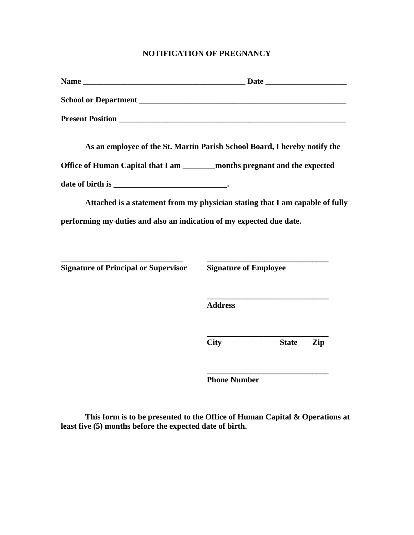## **NOTIFICATION OF PREGNANCY**

| As an employee of the St. Martin Parish School Board, I hereby notify the    |                              |              |     |  |
|------------------------------------------------------------------------------|------------------------------|--------------|-----|--|
| Office of Human Capital that I am ________ months pregnant and the expected  |                              |              |     |  |
|                                                                              |                              |              |     |  |
| Attached is a statement from my physician stating that I am capable of fully |                              |              |     |  |
| performing my duties and also an indication of my expected due date.         |                              |              |     |  |
|                                                                              |                              |              |     |  |
| <b>Signature of Principal or Supervisor</b>                                  | <b>Signature of Employee</b> |              |     |  |
|                                                                              | <b>Address</b>               |              |     |  |
|                                                                              | <b>City</b>                  | <b>State</b> | Zip |  |
|                                                                              |                              |              |     |  |

**Phone Number**

**This form is to be presented to the Office of Human Capital & Operations at least five (5) months before the expected date of birth.**